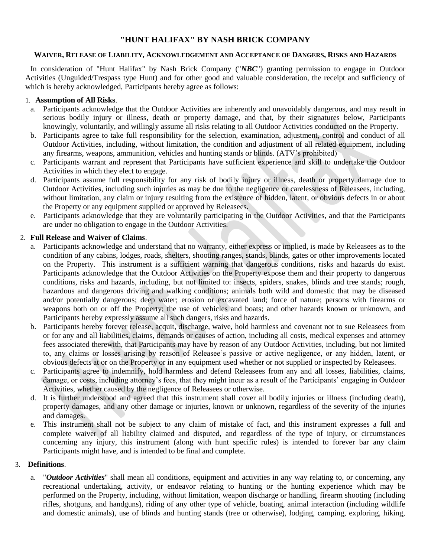# **"HUNT HALIFAX" BY NASH BRICK COMPANY**

#### **WAIVER, RELEASE OF LIABILITY, ACKNOWLEDGEMENT AND ACCEPTANCE OF DANGERS, RISKS AND HAZARDS**

In consideration of "Hunt Halifax" by Nash Brick Company ("*NBC*") granting permission to engage in Outdoor Activities (Unguided/Trespass type Hunt) and for other good and valuable consideration, the receipt and sufficiency of which is hereby acknowledged, Participants hereby agree as follows:

#### 1. **Assumption of All Risks**.

- a. Participants acknowledge that the Outdoor Activities are inherently and unavoidably dangerous, and may result in serious bodily injury or illness, death or property damage, and that, by their signatures below, Participants knowingly, voluntarily, and willingly assume all risks relating to all Outdoor Activities conducted on the Property.
- b. Participants agree to take full responsibility for the selection, examination, adjustment, control and conduct of all Outdoor Activities, including, without limitation, the condition and adjustment of all related equipment, including any firearms, weapons, ammunition, vehicles and hunting stands or blinds. (ATV's prohibited)
- c. Participants warrant and represent that Participants have sufficient experience and skill to undertake the Outdoor Activities in which they elect to engage.
- d. Participants assume full responsibility for any risk of bodily injury or illness, death or property damage due to Outdoor Activities, including such injuries as may be due to the negligence or carelessness of Releasees, including, without limitation, any claim or injury resulting from the existence of hidden, latent, or obvious defects in or about the Property or any equipment supplied or approved by Releasees.
- e. Participants acknowledge that they are voluntarily participating in the Outdoor Activities, and that the Participants are under no obligation to engage in the Outdoor Activities.

# 2. **Full Release and Waiver of Claims**.

- a. Participants acknowledge and understand that no warranty, either express or implied, is made by Releasees as to the condition of any cabins, lodges, roads, shelters, shooting ranges, stands, blinds, gates or other improvements located on the Property. This instrument is a sufficient warning that dangerous conditions, risks and hazards do exist. Participants acknowledge that the Outdoor Activities on the Property expose them and their property to dangerous conditions, risks and hazards, including, but not limited to: insects, spiders, snakes, blinds and tree stands; rough, hazardous and dangerous driving and walking conditions; animals both wild and domestic that may be diseased and/or potentially dangerous; deep water; erosion or excavated land; force of nature; persons with firearms or weapons both on or off the Property; the use of vehicles and boats; and other hazards known or unknown, and Participants hereby expressly assume all such dangers, risks and hazards.
- b. Participants hereby forever release, acquit, discharge, waive, hold harmless and covenant not to sue Releasees from or for any and all liabilities, claims, demands or causes of action, including all costs, medical expenses and attorney fees associated therewith, that Participants may have by reason of any Outdoor Activities, including, but not limited to, any claims or losses arising by reason of Releasee's passive or active negligence, or any hidden, latent, or obvious defects at or on the Property or in any equipment used whether or not supplied or inspected by Releasees.
- c. Participants agree to indemnify, hold harmless and defend Releasees from any and all losses, liabilities, claims, damage, or costs, including attorney's fees, that they might incur as a result of the Participants' engaging in Outdoor Activities, whether caused by the negligence of Releasees or otherwise.
- d. It is further understood and agreed that this instrument shall cover all bodily injuries or illness (including death), property damages, and any other damage or injuries, known or unknown, regardless of the severity of the injuries and damages.
- e. This instrument shall not be subject to any claim of mistake of fact, and this instrument expresses a full and complete waiver of all liability claimed and disputed, and regardless of the type of injury, or circumstances concerning any injury, this instrument (along with hunt specific rules) is intended to forever bar any claim Participants might have, and is intended to be final and complete.

### 3. **Definitions**.

a. "*Outdoor Activities*" shall mean all conditions, equipment and activities in any way relating to, or concerning, any recreational undertaking, activity, or endeavor relating to hunting or the hunting experience which may be performed on the Property, including, without limitation, weapon discharge or handling, firearm shooting (including rifles, shotguns, and handguns), riding of any other type of vehicle, boating, animal interaction (including wildlife and domestic animals), use of blinds and hunting stands (tree or otherwise), lodging, camping, exploring, hiking,